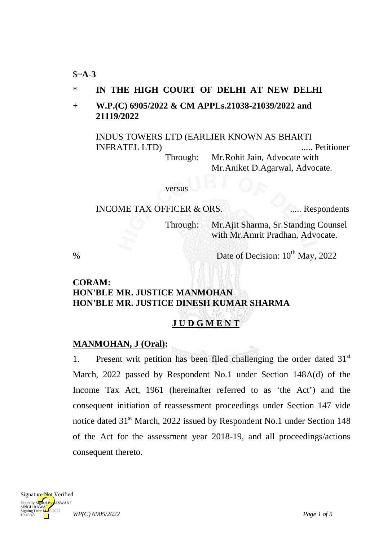#### \$~**A-3**

### \* **IN THE HIGH COURT OF DELHI AT NEW DELHI**

## + **W.P.(C) 6905/2022 & CM APPLs.21038-21039/2022 and 21119/2022**

INDUS TOWERS LTD (EARLIER KNOWN AS BHARTI INFRATEL LTD) ..... Petitioner Through: Mr.Rohit Jain, Advocate with Mr.Aniket D.Agarwal, Advocate.

#### versus

#### INCOME TAX OFFICER & ORS. ..... Respondents

Through: Mr.Ajit Sharma, Sr.Standing Counsel with Mr.Amrit Pradhan, Advocate.

% Date of Decision:  $10^{th}$  May,  $2022$ 

## **CORAM: HON'BLE MR. JUSTICE MANMOHAN HON'BLE MR. JUSTICE DINESH KUMAR SHARMA**

# **J U D G M E N T**

## **MANMOHAN, J (Oral) :**

1. Present writ petition has been filed challenging the order dated 31<sup>st</sup> March, 2022 passed by Respondent No.1 under Section 148A(d) of the Income Tax Act, 1961 (hereinafter referred to as 'the Act') and the consequent initiation of reassessment proceedings under Section 147 vide notice dated 31<sup>st</sup> March, 2022 issued by Respondent No.1 under Section 148 of the Act for the assessment year 2018-19, and all proceedings/actions consequent thereto.

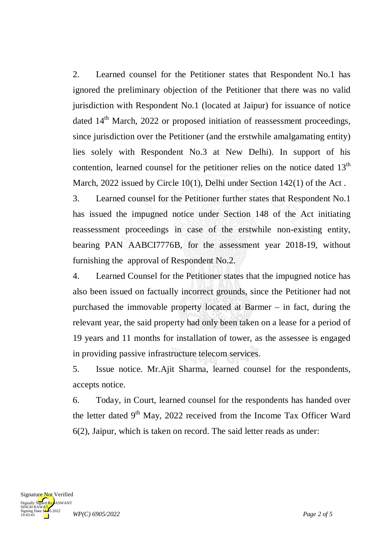2. Learned counsel for the Petitioner states that Respondent No.1 has ignored the preliminary objection of the Petitioner that there was no valid jurisdiction with Respondent No.1 (located at Jaipur) for issuance of notice dated  $14<sup>th</sup>$  March, 2022 or proposed initiation of reassessment proceedings, since jurisdiction over the Petitioner (and the erstwhile amalgamating entity) lies solely with Respondent No.3 at New Delhi). In support of his contention, learned counsel for the petitioner relies on the notice dated  $13<sup>th</sup>$ March, 2022 issued by Circle 10(1), Delhi under Section 142(1) of the Act.

3. Learned counsel for the Petitioner further states that Respondent No.1 has issued the impugned notice under Section 148 of the Act initiating reassessment proceedings in case of the erstwhile non-existing entity, bearing PAN AABCI7776B, for the assessment year 2018-19, without furnishing the approval of Respondent No.2.

4. Learned Counsel for the Petitioner states that the impugned notice has also been issued on factually incorrect grounds, since the Petitioner had not purchased the immovable property located at Barmer – in fact, during the relevant year, the said property had only been taken on a lease for a period of 19 years and 11 months for installation of tower, as the assessee is engaged in providing passive infrastructure telecom services.

5. Issue notice. Mr.Ajit Sharma, learned counsel for the respondents, accepts notice.

6. Today, in Court, learned counsel for the respondents has handed over the letter dated  $9<sup>th</sup>$  May, 2022 received from the Income Tax Officer Ward 6(2), Jaipur, which is taken on record. The said letter reads as under:

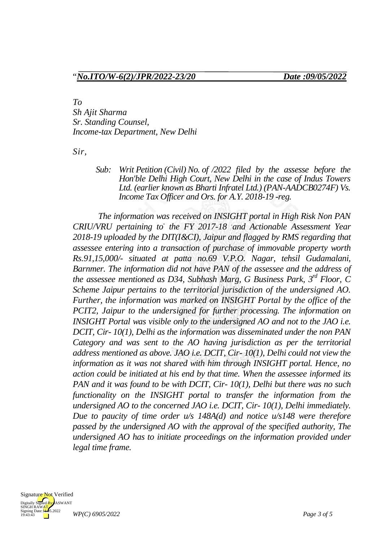"*No.ITO/W-6(2)/JPR/2022-23/20 Date :09/05/2022*

*To*

*Sh Ajit Sharma Sr. Standing Counsel, Income-tax Department, New Delhi*

*Sir,*

*Sub: Writ Petition (Civil) No. of /2022 filed by the assesse before the Hon'ble Delhi High Court, New Delhi in the case of Indus Towers Ltd. (earlier known as Bharti Infratel Ltd.) (PAN-AADCB0274F) Vs. Income Tax Officer and Ors. for A.Y. 2018-19 -reg.*

*The information was received on INSIGHT portal in High Risk Non PAN CRIU/VRU pertaining to- the FY 2017-18 . and Actionable Assessment Year 2018-19 uploaded by the DIT(I&CI), Jaipur and flagged by RMS regarding that assessee entering into a transaction of purchase of immovable property worth Rs.91,15,000/- situated at patta no.69 V.P.O. Nagar, tehsil Gudamalani, Barnmer. The information did not have PAN of the assessee and the address of the assessee mentioned as D34, Subhash Marg, G Business Park, 3rd Floor, C Scheme Jaipur pertains to the territorial jurisdiction of the undersigned AO. Further, the information was marked on INSIGHT Portal by the office of the PCIT2, Jaipur to the undersigned for further processing. The information on INSIGHT Portal was visible only to the undersigned AO and not to the JAO i.e. DCIT, Cir- 10(1), Delhi as the information was disseminated under the non PAN Category and was sent to the AO having jurisdiction as per the territorial address mentioned as above. JAO i.e. DCIT, Cir- 10(1), Delhi could not view the information as it was not shared with him through INSIGHT portal. Hence, no action could be initiated at his end by that time. When the assessee informed its PAN and it was found to be with DCIT, Cir- 10(1), Delhi but there was no such functionality on the INSIGHT portal to transfer the information from the undersigned AO to the concerned JAO i.e. DCIT, Cir- 10(1), Delhi immediately. Due to paucity of time order u/s 148A(d) and notice u/s148 were therefore passed by the undersigned AO with the approval of the specified authority, The undersigned AO has to initiate proceedings on the information provided under legal time frame.*

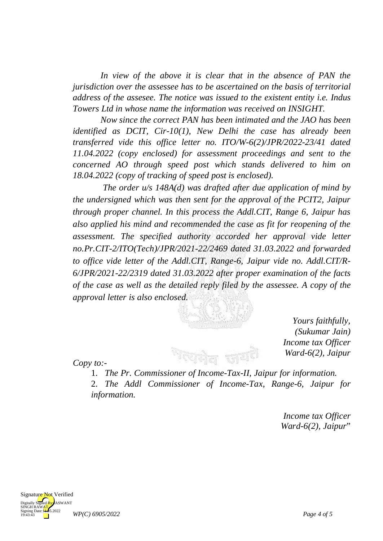In view of the above it is clear that in the absence of PAN the *jurisdiction over the assessee has to be ascertained on the basis of territorial address of the assesee. The notice was issued to the existent entity i.e. Indus Towers Ltd in whose name the information was received on INSIGHT.*

*Now since the correct PAN has been intimated and the JAO has been identified as DCIT, Cir-10(1), New Delhi the case has already been transferred vide this office letter no. ITO/W-6(2)/JPR/2022-23/41 dated 11.04.2022 (copy enclosed) for assessment proceedings and sent to the concerned AO through speed post which stands delivered to him on 18.04.2022 (copy of tracking of speed post is enclosed).*

*The order u/s 148A(d) was drafted after due application of mind by the undersigned which was then sent for the approval of the PCIT2, Jaipur through proper channel. In this process the Addl.CIT, Range 6, Jaipur has also applied his mind and recommended the case as fit for reopening of the assessment. The specified authority accorded her approval vide letter no.Pr.CIT-2/ITO(Tech)/JPR/2021-22/2469 dated 31.03.2022 and forwarded to office vide letter of the Addl.CIT, Range-6, Jaipur vide no. Addl.CIT/R-6/JPR/2021-22/2319 dated 31.03.2022 after proper examination of the facts of the case as well as the detailed reply filed by the assessee. A copy of the approval letter is also enclosed.*



*Yours faithfully, (Sukumar Jain) Income tax Officer Ward-6(2), Jaipur*

*Copy to:-*

1. *The Pr. Commissioner of Income-Tax-II, Jaipur for information.*

2. *The Addl Commissioner of Income-Tax, Range-6, Jaipur for information.*

> *Income tax Officer Ward-6(2), Jaipur*"